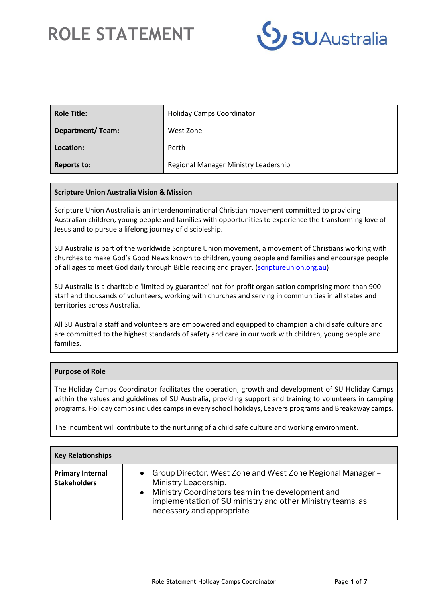

| <b>Role Title:</b>      | <b>Holiday Camps Coordinator</b>     |
|-------------------------|--------------------------------------|
| <b>Department/Team:</b> | West Zone                            |
| Location:               | Perth                                |
| <b>Reports to:</b>      | Regional Manager Ministry Leadership |

#### **Scripture Union Australia Vision & Mission**

Scripture Union Australia is an interdenominational Christian movement committed to providing Australian children, young people and families with opportunities to experience the transforming love of Jesus and to pursue a lifelong journey of discipleship.

SU Australia is part of the worldwide Scripture Union movement, a movement of Christians working with churches to make God's Good News known to children, young people and families and encourage people of all ages to meet God daily through Bible reading and prayer. [\(scriptureunion.org.au\)](https://scriptureunion.org.au/)

SU Australia is a charitable 'limited by guarantee' not-for-profit organisation comprising more than 900 staff and thousands of volunteers, working with churches and serving in communities in all states and territories across Australia.

All SU Australia staff and volunteers are empowered and equipped to champion a child safe culture and are committed to the highest standards of safety and care in our work with children, young people and families.

#### **Purpose of Role**

The Holiday Camps Coordinator facilitates the operation, growth and development of SU Holiday Camps within the values and guidelines of SU Australia, providing support and training to volunteers in camping programs. Holiday camps includes camps in every school holidays, Leavers programs and Breakaway camps.

The incumbent will contribute to the nurturing of a child safe culture and working environment.

| <b>Key Relationships</b>                       |                                                                                                                                                                                                                                         |
|------------------------------------------------|-----------------------------------------------------------------------------------------------------------------------------------------------------------------------------------------------------------------------------------------|
| <b>Primary Internal</b><br><b>Stakeholders</b> | • Group Director, West Zone and West Zone Regional Manager -<br>Ministry Leadership.<br>• Ministry Coordinators team in the development and<br>implementation of SU ministry and other Ministry teams, as<br>necessary and appropriate. |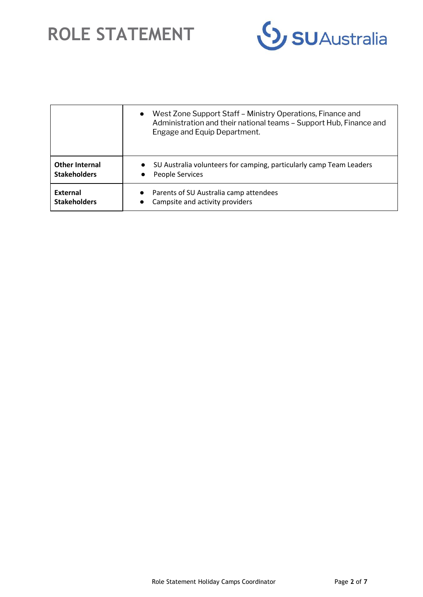

|                                              | West Zone Support Staff - Ministry Operations, Finance and<br>$\bullet$<br>Administration and their national teams - Support Hub, Finance and<br>Engage and Equip Department. |
|----------------------------------------------|-------------------------------------------------------------------------------------------------------------------------------------------------------------------------------|
| <b>Other Internal</b><br><b>Stakeholders</b> | SU Australia volunteers for camping, particularly camp Team Leaders<br>People Services<br>$\bullet$                                                                           |
| External<br><b>Stakeholders</b>              | Parents of SU Australia camp attendees<br>$\bullet$<br>Campsite and activity providers<br>$\bullet$                                                                           |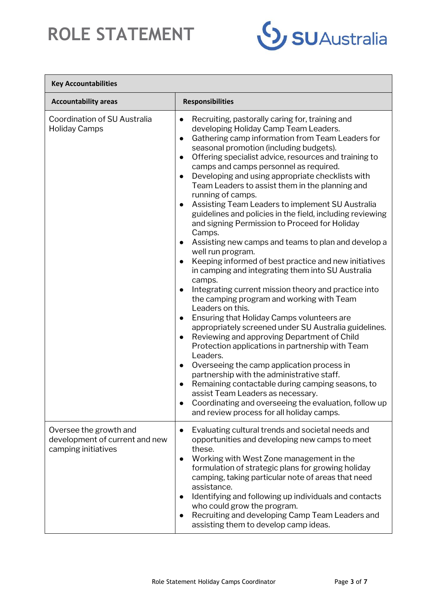

 $\overline{\phantom{0}}$ 

| <b>Key Accountabilities</b>                                                     |                                                                                                                                                                                                                                                                                                                                                                                                                                                                                                                                                                                                                                                                                                                                                                                                                                                                                                                                                                                                                                                                                                                                                                                                                                                                                                                                                                                                                                                                                                                                                                                                 |
|---------------------------------------------------------------------------------|-------------------------------------------------------------------------------------------------------------------------------------------------------------------------------------------------------------------------------------------------------------------------------------------------------------------------------------------------------------------------------------------------------------------------------------------------------------------------------------------------------------------------------------------------------------------------------------------------------------------------------------------------------------------------------------------------------------------------------------------------------------------------------------------------------------------------------------------------------------------------------------------------------------------------------------------------------------------------------------------------------------------------------------------------------------------------------------------------------------------------------------------------------------------------------------------------------------------------------------------------------------------------------------------------------------------------------------------------------------------------------------------------------------------------------------------------------------------------------------------------------------------------------------------------------------------------------------------------|
| <b>Accountability areas</b>                                                     | <b>Responsibilities</b>                                                                                                                                                                                                                                                                                                                                                                                                                                                                                                                                                                                                                                                                                                                                                                                                                                                                                                                                                                                                                                                                                                                                                                                                                                                                                                                                                                                                                                                                                                                                                                         |
| Coordination of SU Australia<br><b>Holiday Camps</b>                            | Recruiting, pastorally caring for, training and<br>$\bullet$<br>developing Holiday Camp Team Leaders.<br>Gathering camp information from Team Leaders for<br>$\bullet$<br>seasonal promotion (including budgets).<br>Offering specialist advice, resources and training to<br>$\bullet$<br>camps and camps personnel as required.<br>Developing and using appropriate checklists with<br>$\bullet$<br>Team Leaders to assist them in the planning and<br>running of camps.<br>Assisting Team Leaders to implement SU Australia<br>$\bullet$<br>guidelines and policies in the field, including reviewing<br>and signing Permission to Proceed for Holiday<br>Camps.<br>Assisting new camps and teams to plan and develop a<br>$\bullet$<br>well run program.<br>Keeping informed of best practice and new initiatives<br>$\bullet$<br>in camping and integrating them into SU Australia<br>camps.<br>Integrating current mission theory and practice into<br>$\bullet$<br>the camping program and working with Team<br>Leaders on this.<br>Ensuring that Holiday Camps volunteers are<br>$\bullet$<br>appropriately screened under SU Australia guidelines.<br>Reviewing and approving Department of Child<br>$\bullet$<br>Protection applications in partnership with Team<br>Leaders.<br>Overseeing the camp application process in<br>$\bullet$<br>partnership with the administrative staff.<br>Remaining contactable during camping seasons, to<br>assist Team Leaders as necessary.<br>Coordinating and overseeing the evaluation, follow up<br>and review process for all holiday camps. |
| Oversee the growth and<br>development of current and new<br>camping initiatives | Evaluating cultural trends and societal needs and<br>$\bullet$<br>opportunities and developing new camps to meet<br>these.<br>Working with West Zone management in the<br>$\bullet$<br>formulation of strategic plans for growing holiday<br>camping, taking particular note of areas that need<br>assistance.<br>Identifying and following up individuals and contacts<br>$\bullet$<br>who could grow the program.<br>Recruiting and developing Camp Team Leaders and<br>$\bullet$<br>assisting them to develop camp ideas.                                                                                                                                                                                                                                                                                                                                                                                                                                                                                                                                                                                                                                                                                                                                                                                                                                                                                                                                                                                                                                                                    |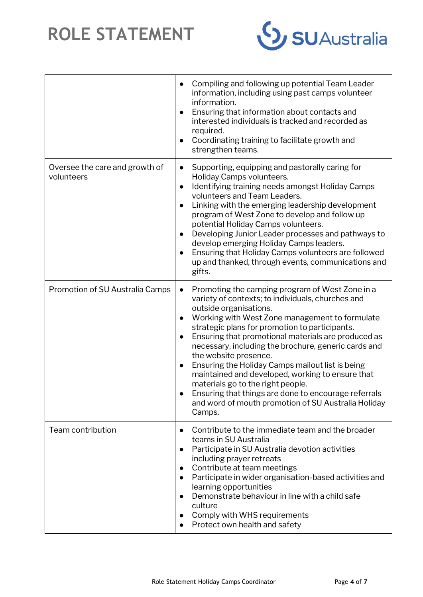

|                                              | Compiling and following up potential Team Leader<br>$\bullet$<br>information, including using past camps volunteer<br>information.<br>Ensuring that information about contacts and<br>interested individuals is tracked and recorded as<br>required.<br>Coordinating training to facilitate growth and<br>$\bullet$<br>strengthen teams.                                                                                                                                                                                                                                                                                                                                                             |
|----------------------------------------------|------------------------------------------------------------------------------------------------------------------------------------------------------------------------------------------------------------------------------------------------------------------------------------------------------------------------------------------------------------------------------------------------------------------------------------------------------------------------------------------------------------------------------------------------------------------------------------------------------------------------------------------------------------------------------------------------------|
| Oversee the care and growth of<br>volunteers | Supporting, equipping and pastorally caring for<br>$\bullet$<br>Holiday Camps volunteers.<br>Identifying training needs amongst Holiday Camps<br>$\bullet$<br>volunteers and Team Leaders.<br>Linking with the emerging leadership development<br>program of West Zone to develop and follow up<br>potential Holiday Camps volunteers.<br>Developing Junior Leader processes and pathways to<br>$\bullet$<br>develop emerging Holiday Camps leaders.<br>Ensuring that Holiday Camps volunteers are followed<br>up and thanked, through events, communications and<br>gifts.                                                                                                                          |
| Promotion of SU Australia Camps              | Promoting the camping program of West Zone in a<br>$\bullet$<br>variety of contexts; to individuals, churches and<br>outside organisations.<br>Working with West Zone management to formulate<br>$\bullet$<br>strategic plans for promotion to participants.<br>Ensuring that promotional materials are produced as<br>$\bullet$<br>necessary, including the brochure, generic cards and<br>the website presence.<br>Ensuring the Holiday Camps mailout list is being<br>$\bullet$<br>maintained and developed, working to ensure that<br>materials go to the right people.<br>Ensuring that things are done to encourage referrals<br>and word of mouth promotion of SU Australia Holiday<br>Camps. |
| Team contribution                            | Contribute to the immediate team and the broader<br>$\bullet$<br>teams in SU Australia<br>Participate in SU Australia devotion activities<br>including prayer retreats<br>Contribute at team meetings<br>$\bullet$<br>Participate in wider organisation-based activities and<br>$\bullet$<br>learning opportunities<br>Demonstrate behaviour in line with a child safe<br>$\bullet$<br>culture<br>Comply with WHS requirements<br>$\bullet$<br>Protect own health and safety                                                                                                                                                                                                                         |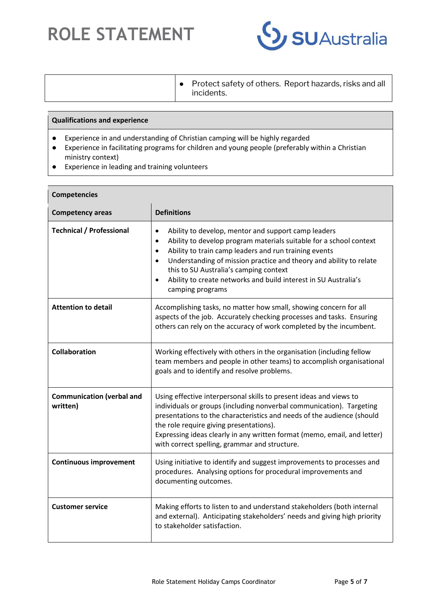

| $\bullet$ Protect safety of others. Report hazards, risks and all<br>incidents. |
|---------------------------------------------------------------------------------|
|                                                                                 |

### **Qualifications and experience**

- Experience in and understanding of Christian camping will be highly regarded
- Experience in facilitating programs for children and young people (preferably within a Christian ministry context)
- Experience in leading and training volunteers

| <b>Competencies</b>                          |                                                                                                                                                                                                                                                                                                                                                                                                                                               |
|----------------------------------------------|-----------------------------------------------------------------------------------------------------------------------------------------------------------------------------------------------------------------------------------------------------------------------------------------------------------------------------------------------------------------------------------------------------------------------------------------------|
| <b>Competency areas</b>                      | <b>Definitions</b>                                                                                                                                                                                                                                                                                                                                                                                                                            |
| <b>Technical / Professional</b>              | Ability to develop, mentor and support camp leaders<br>$\bullet$<br>Ability to develop program materials suitable for a school context<br>$\bullet$<br>Ability to train camp leaders and run training events<br>$\bullet$<br>Understanding of mission practice and theory and ability to relate<br>$\bullet$<br>this to SU Australia's camping context<br>Ability to create networks and build interest in SU Australia's<br>camping programs |
| <b>Attention to detail</b>                   | Accomplishing tasks, no matter how small, showing concern for all<br>aspects of the job. Accurately checking processes and tasks. Ensuring<br>others can rely on the accuracy of work completed by the incumbent.                                                                                                                                                                                                                             |
| <b>Collaboration</b>                         | Working effectively with others in the organisation (including fellow<br>team members and people in other teams) to accomplish organisational<br>goals and to identify and resolve problems.                                                                                                                                                                                                                                                  |
| <b>Communication (verbal and</b><br>written) | Using effective interpersonal skills to present ideas and views to<br>individuals or groups (including nonverbal communication). Targeting<br>presentations to the characteristics and needs of the audience (should<br>the role require giving presentations).<br>Expressing ideas clearly in any written format (memo, email, and letter)<br>with correct spelling, grammar and structure.                                                  |
| <b>Continuous improvement</b>                | Using initiative to identify and suggest improvements to processes and<br>procedures. Analysing options for procedural improvements and<br>documenting outcomes.                                                                                                                                                                                                                                                                              |
| <b>Customer service</b>                      | Making efforts to listen to and understand stakeholders (both internal<br>and external). Anticipating stakeholders' needs and giving high priority<br>to stakeholder satisfaction.                                                                                                                                                                                                                                                            |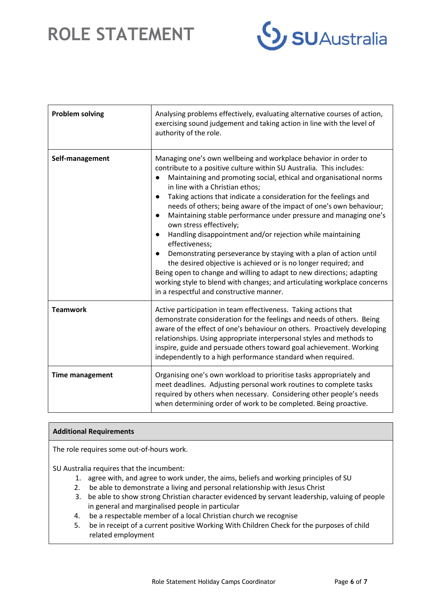

| <b>Problem solving</b> | Analysing problems effectively, evaluating alternative courses of action,<br>exercising sound judgement and taking action in line with the level of<br>authority of the role.                                                                                                                                                                                                                                                                                                                                                                                                                                                                                                                                                                                                                                                                                                                                                    |
|------------------------|----------------------------------------------------------------------------------------------------------------------------------------------------------------------------------------------------------------------------------------------------------------------------------------------------------------------------------------------------------------------------------------------------------------------------------------------------------------------------------------------------------------------------------------------------------------------------------------------------------------------------------------------------------------------------------------------------------------------------------------------------------------------------------------------------------------------------------------------------------------------------------------------------------------------------------|
| Self-management        | Managing one's own wellbeing and workplace behavior in order to<br>contribute to a positive culture within SU Australia. This includes:<br>Maintaining and promoting social, ethical and organisational norms<br>in line with a Christian ethos;<br>Taking actions that indicate a consideration for the feelings and<br>needs of others; being aware of the impact of one's own behaviour;<br>Maintaining stable performance under pressure and managing one's<br>own stress effectively;<br>Handling disappointment and/or rejection while maintaining<br>$\bullet$<br>effectiveness;<br>Demonstrating perseverance by staying with a plan of action until<br>the desired objective is achieved or is no longer required; and<br>Being open to change and willing to adapt to new directions; adapting<br>working style to blend with changes; and articulating workplace concerns<br>in a respectful and constructive manner. |
| <b>Teamwork</b>        | Active participation in team effectiveness. Taking actions that<br>demonstrate consideration for the feelings and needs of others. Being<br>aware of the effect of one's behaviour on others. Proactively developing<br>relationships. Using appropriate interpersonal styles and methods to<br>inspire, guide and persuade others toward goal achievement. Working<br>independently to a high performance standard when required.                                                                                                                                                                                                                                                                                                                                                                                                                                                                                               |
| <b>Time management</b> | Organising one's own workload to prioritise tasks appropriately and<br>meet deadlines. Adjusting personal work routines to complete tasks<br>required by others when necessary. Considering other people's needs<br>when determining order of work to be completed. Being proactive.                                                                                                                                                                                                                                                                                                                                                                                                                                                                                                                                                                                                                                             |

#### **Additional Requirements**

The role requires some out-of-hours work.

SU Australia requires that the incumbent:

- 1. agree with, and agree to work under, the aims, beliefs and working principles of SU
- 2. be able to demonstrate a living and personal relationship with Jesus Christ
- 3. be able to show strong Christian character evidenced by servant leadership, valuing of people in general and marginalised people in particular
- 4. be a respectable member of a local Christian church we recognise
- 5. be in receipt of a current positive Working With Children Check for the purposes of child related employment